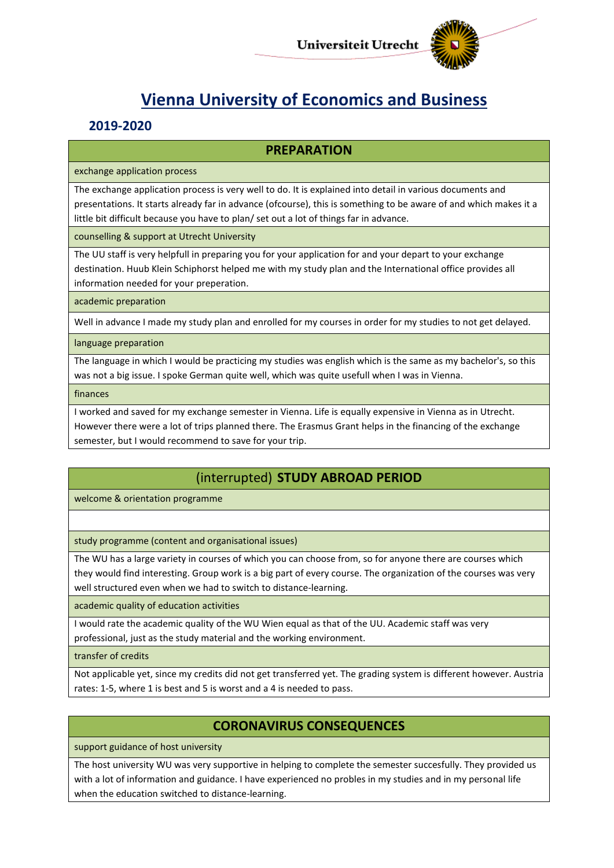

# **Vienna University of Economics and Business**

## **2019-2020**

## **PREPARATION**

exchange application process

The exchange application process is very well to do. It is explained into detail in various documents and presentations. It starts already far in advance (ofcourse), this is something to be aware of and which makes it a little bit difficult because you have to plan/ set out a lot of things far in advance.

counselling & support at Utrecht University

The UU staff is very helpfull in preparing you for your application for and your depart to your exchange destination. Huub Klein Schiphorst helped me with my study plan and the International office provides all information needed for your preperation.

academic preparation

Well in advance I made my study plan and enrolled for my courses in order for my studies to not get delayed.

language preparation

The language in which I would be practicing my studies was english which is the same as my bachelor's, so this was not a big issue. I spoke German quite well, which was quite usefull when I was in Vienna.

finances

I worked and saved for my exchange semester in Vienna. Life is equally expensive in Vienna as in Utrecht. However there were a lot of trips planned there. The Erasmus Grant helps in the financing of the exchange semester, but I would recommend to save for your trip.

## (interrupted) **STUDY ABROAD PERIOD**

welcome & orientation programme

study programme (content and organisational issues)

The WU has a large variety in courses of which you can choose from, so for anyone there are courses which they would find interesting. Group work is a big part of every course. The organization of the courses was very well structured even when we had to switch to distance-learning.

academic quality of education activities

I would rate the academic quality of the WU Wien equal as that of the UU. Academic staff was very professional, just as the study material and the working environment.

transfer of credits

Not applicable yet, since my credits did not get transferred yet. The grading system is different however. Austria rates: 1-5, where 1 is best and 5 is worst and a 4 is needed to pass.

## **CORONAVIRUS CONSEQUENCES**

support guidance of host university

The host university WU was very supportive in helping to complete the semester succesfully. They provided us with a lot of information and guidance. I have experienced no probles in my studies and in my personal life when the education switched to distance-learning.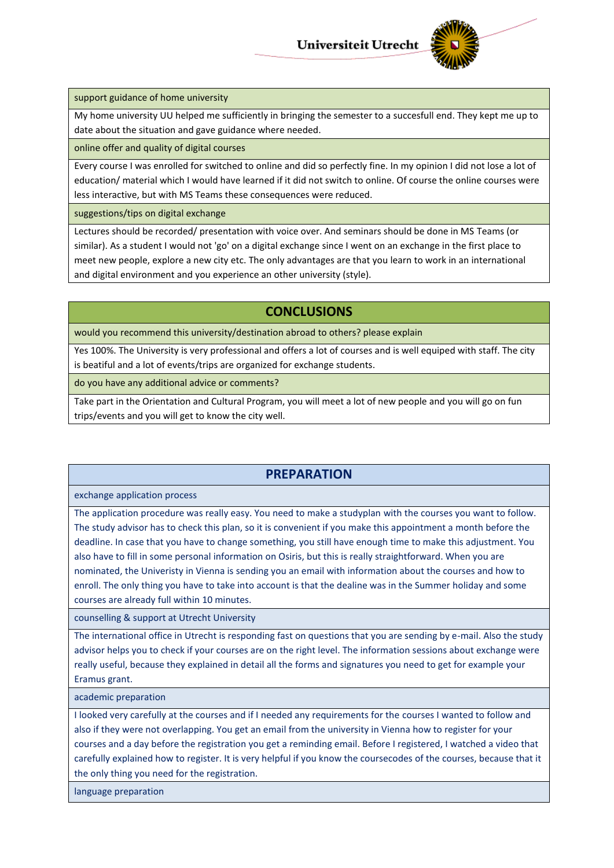

support guidance of home university

My home university UU helped me sufficiently in bringing the semester to a succesfull end. They kept me up to date about the situation and gave guidance where needed.

online offer and quality of digital courses

Every course I was enrolled for switched to online and did so perfectly fine. In my opinion I did not lose a lot of education/ material which I would have learned if it did not switch to online. Of course the online courses were less interactive, but with MS Teams these consequences were reduced.

suggestions/tips on digital exchange

Lectures should be recorded/ presentation with voice over. And seminars should be done in MS Teams (or similar). As a student I would not 'go' on a digital exchange since I went on an exchange in the first place to meet new people, explore a new city etc. The only advantages are that you learn to work in an international and digital environment and you experience an other university (style).

## **CONCLUSIONS**

would you recommend this university/destination abroad to others? please explain

Yes 100%. The University is very professional and offers a lot of courses and is well equiped with staff. The city is beatiful and a lot of events/trips are organized for exchange students.

do you have any additional advice or comments?

Take part in the Orientation and Cultural Program, you will meet a lot of new people and you will go on fun trips/events and you will get to know the city well.

## **PREPARATION**

exchange application process

The application procedure was really easy. You need to make a studyplan with the courses you want to follow. The study advisor has to check this plan, so it is convenient if you make this appointment a month before the deadline. In case that you have to change something, you still have enough time to make this adjustment. You also have to fill in some personal information on Osiris, but this is really straightforward. When you are nominated, the Univeristy in Vienna is sending you an email with information about the courses and how to enroll. The only thing you have to take into account is that the dealine was in the Summer holiday and some courses are already full within 10 minutes.

counselling & support at Utrecht University

The international office in Utrecht is responding fast on questions that you are sending by e-mail. Also the study advisor helps you to check if your courses are on the right level. The information sessions about exchange were really useful, because they explained in detail all the forms and signatures you need to get for example your Eramus grant.

academic preparation

I looked very carefully at the courses and if I needed any requirements for the courses I wanted to follow and also if they were not overlapping. You get an email from the university in Vienna how to register for your courses and a day before the registration you get a reminding email. Before I registered, I watched a video that carefully explained how to register. It is very helpful if you know the coursecodes of the courses, because that it the only thing you need for the registration.

language preparation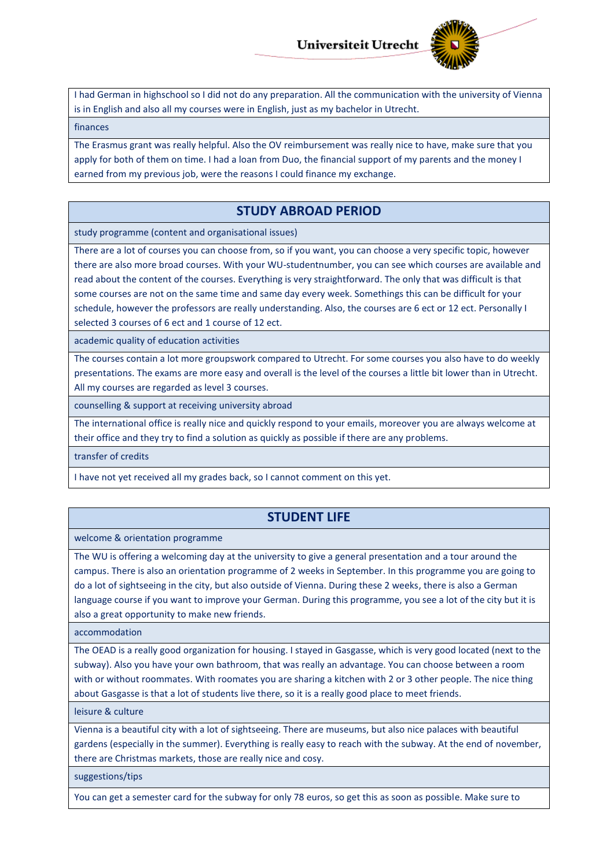

I had German in highschool so I did not do any preparation. All the communication with the university of Vienna is in English and also all my courses were in English, just as my bachelor in Utrecht.

#### finances

The Erasmus grant was really helpful. Also the OV reimbursement was really nice to have, make sure that you apply for both of them on time. I had a loan from Duo, the financial support of my parents and the money I earned from my previous job, were the reasons I could finance my exchange.

#### **STUDY ABROAD PERIOD**

study programme (content and organisational issues)

There are a lot of courses you can choose from, so if you want, you can choose a very specific topic, however there are also more broad courses. With your WU-studentnumber, you can see which courses are available and read about the content of the courses. Everything is very straightforward. The only that was difficult is that some courses are not on the same time and same day every week. Somethings this can be difficult for your schedule, however the professors are really understanding. Also, the courses are 6 ect or 12 ect. Personally I selected 3 courses of 6 ect and 1 course of 12 ect.

academic quality of education activities

The courses contain a lot more groupswork compared to Utrecht. For some courses you also have to do weekly presentations. The exams are more easy and overall is the level of the courses a little bit lower than in Utrecht. All my courses are regarded as level 3 courses.

counselling & support at receiving university abroad

The international office is really nice and quickly respond to your emails, moreover you are always welcome at their office and they try to find a solution as quickly as possible if there are any problems.

transfer of credits

I have not yet received all my grades back, so I cannot comment on this yet.

### **STUDENT LIFE**

welcome & orientation programme

The WU is offering a welcoming day at the university to give a general presentation and a tour around the campus. There is also an orientation programme of 2 weeks in September. In this programme you are going to do a lot of sightseeing in the city, but also outside of Vienna. During these 2 weeks, there is also a German language course if you want to improve your German. During this programme, you see a lot of the city but it is also a great opportunity to make new friends.

accommodation

The OEAD is a really good organization for housing. I stayed in Gasgasse, which is very good located (next to the subway). Also you have your own bathroom, that was really an advantage. You can choose between a room with or without roommates. With roomates you are sharing a kitchen with 2 or 3 other people. The nice thing about Gasgasse is that a lot of students live there, so it is a really good place to meet friends.

leisure & culture

Vienna is a beautiful city with a lot of sightseeing. There are museums, but also nice palaces with beautiful gardens (especially in the summer). Everything is really easy to reach with the subway. At the end of november, there are Christmas markets, those are really nice and cosy.

suggestions/tips

You can get a semester card for the subway for only 78 euros, so get this as soon as possible. Make sure to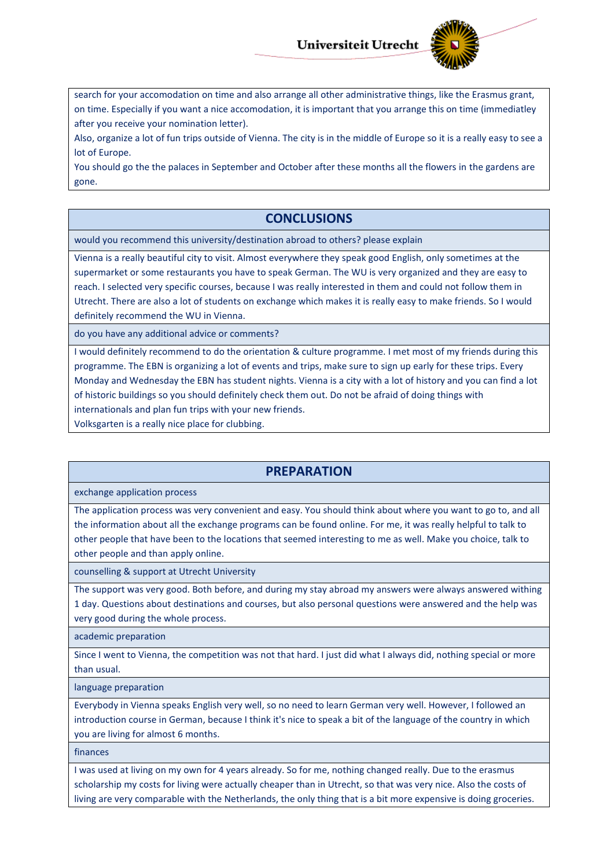

search for your accomodation on time and also arrange all other administrative things, like the Erasmus grant, on time. Especially if you want a nice accomodation, it is important that you arrange this on time (immediatley after you receive your nomination letter).

Also, organize a lot of fun trips outside of Vienna. The city is in the middle of Europe so it is a really easy to see a lot of Europe.

You should go the the palaces in September and October after these months all the flowers in the gardens are gone.

## **CONCLUSIONS**

would you recommend this university/destination abroad to others? please explain

Vienna is a really beautiful city to visit. Almost everywhere they speak good English, only sometimes at the supermarket or some restaurants you have to speak German. The WU is very organized and they are easy to reach. I selected very specific courses, because I was really interested in them and could not follow them in Utrecht. There are also a lot of students on exchange which makes it is really easy to make friends. So I would definitely recommend the WU in Vienna.

do you have any additional advice or comments?

I would definitely recommend to do the orientation & culture programme. I met most of my friends during this programme. The EBN is organizing a lot of events and trips, make sure to sign up early for these trips. Every Monday and Wednesday the EBN has student nights. Vienna is a city with a lot of history and you can find a lot of historic buildings so you should definitely check them out. Do not be afraid of doing things with internationals and plan fun trips with your new friends.

Volksgarten is a really nice place for clubbing.

### **PREPARATION**

exchange application process

The application process was very convenient and easy. You should think about where you want to go to, and all the information about all the exchange programs can be found online. For me, it was really helpful to talk to other people that have been to the locations that seemed interesting to me as well. Make you choice, talk to other people and than apply online.

counselling & support at Utrecht University

The support was very good. Both before, and during my stay abroad my answers were always answered withing 1 day. Questions about destinations and courses, but also personal questions were answered and the help was very good during the whole process.

academic preparation

Since I went to Vienna, the competition was not that hard. I just did what I always did, nothing special or more than usual.

language preparation

Everybody in Vienna speaks English very well, so no need to learn German very well. However, I followed an introduction course in German, because I think it's nice to speak a bit of the language of the country in which you are living for almost 6 months.

finances

I was used at living on my own for 4 years already. So for me, nothing changed really. Due to the erasmus scholarship my costs for living were actually cheaper than in Utrecht, so that was very nice. Also the costs of living are very comparable with the Netherlands, the only thing that is a bit more expensive is doing groceries.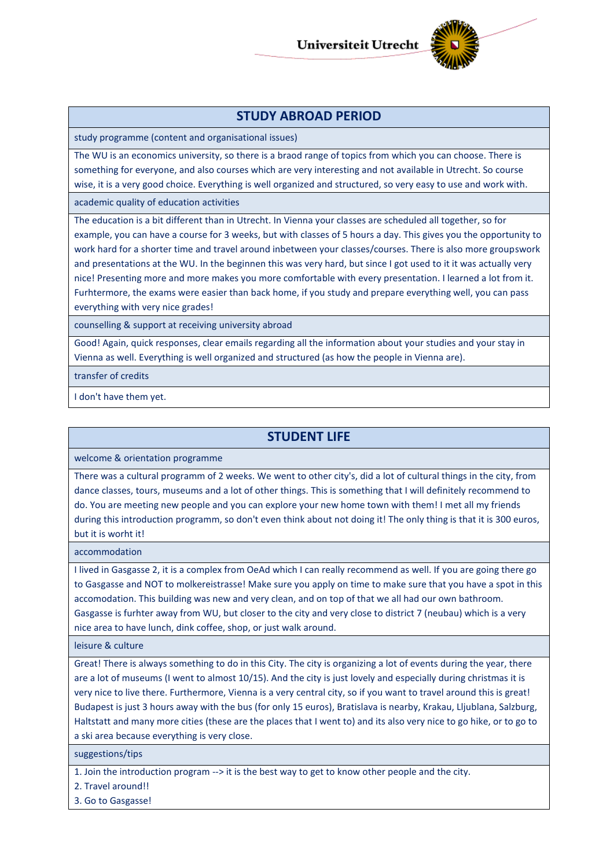

## **STUDY ABROAD PERIOD**

study programme (content and organisational issues)

The WU is an economics university, so there is a braod range of topics from which you can choose. There is something for everyone, and also courses which are very interesting and not available in Utrecht. So course wise, it is a very good choice. Everything is well organized and structured, so very easy to use and work with.

academic quality of education activities

The education is a bit different than in Utrecht. In Vienna your classes are scheduled all together, so for example, you can have a course for 3 weeks, but with classes of 5 hours a day. This gives you the opportunity to work hard for a shorter time and travel around inbetween your classes/courses. There is also more groupswork and presentations at the WU. In the beginnen this was very hard, but since I got used to it it was actually very nice! Presenting more and more makes you more comfortable with every presentation. I learned a lot from it. Furhtermore, the exams were easier than back home, if you study and prepare everything well, you can pass everything with very nice grades!

counselling & support at receiving university abroad

Good! Again, quick responses, clear emails regarding all the information about your studies and your stay in Vienna as well. Everything is well organized and structured (as how the people in Vienna are).

transfer of credits

I don't have them yet.

## **STUDENT LIFE**

welcome & orientation programme

There was a cultural programm of 2 weeks. We went to other city's, did a lot of cultural things in the city, from dance classes, tours, museums and a lot of other things. This is something that I will definitely recommend to do. You are meeting new people and you can explore your new home town with them! I met all my friends during this introduction programm, so don't even think about not doing it! The only thing is that it is 300 euros, but it is worht it!

accommodation

I lived in Gasgasse 2, it is a complex from OeAd which I can really recommend as well. If you are going there go to Gasgasse and NOT to molkereistrasse! Make sure you apply on time to make sure that you have a spot in this accomodation. This building was new and very clean, and on top of that we all had our own bathroom. Gasgasse is furhter away from WU, but closer to the city and very close to district 7 (neubau) which is a very nice area to have lunch, dink coffee, shop, or just walk around.

leisure & culture

Great! There is always something to do in this City. The city is organizing a lot of events during the year, there are a lot of museums (I went to almost 10/15). And the city is just lovely and especially during christmas it is very nice to live there. Furthermore, Vienna is a very central city, so if you want to travel around this is great! Budapest is just 3 hours away with the bus (for only 15 euros), Bratislava is nearby, Krakau, Lljublana, Salzburg, Haltstatt and many more cities (these are the places that I went to) and its also very nice to go hike, or to go to a ski area because everything is very close.

suggestions/tips

1. Join the introduction program --> it is the best way to get to know other people and the city.

2. Travel around!!

3. Go to Gasgasse!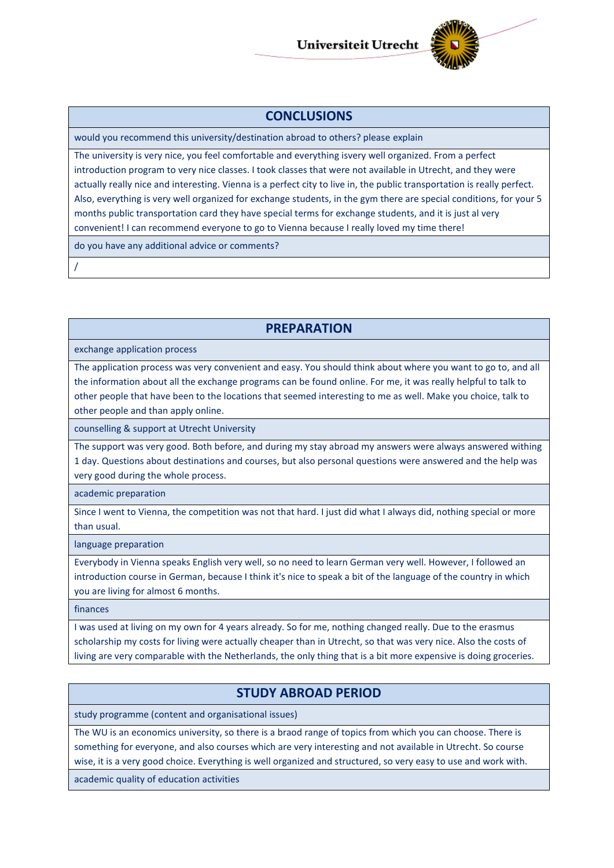

#### **CONCLUSIONS**

would you recommend this university/destination abroad to others? please explain

The university is very nice, you feel comfortable and everything isvery well organized. From a perfect introduction program to very nice classes. I took classes that were not available in Utrecht, and they were actually really nice and interesting. Vienna is a perfect city to live in, the public transportation is really perfect. Also, everything is very well organized for exchange students, in the gym there are special conditions, for your 5 months public transportation card they have special terms for exchange students, and it is just al very convenient! I can recommend everyone to go to Vienna because I really loved my time there!

do you have any additional advice or comments?

/

## **PREPARATION**

exchange application process

The application process was very convenient and easy. You should think about where you want to go to, and all the information about all the exchange programs can be found online. For me, it was really helpful to talk to other people that have been to the locations that seemed interesting to me as well. Make you choice, talk to other people and than apply online.

counselling & support at Utrecht University

The support was very good. Both before, and during my stay abroad my answers were always answered withing 1 day. Questions about destinations and courses, but also personal questions were answered and the help was very good during the whole process.

academic preparation

Since I went to Vienna, the competition was not that hard. I just did what I always did, nothing special or more than usual.

language preparation

Everybody in Vienna speaks English very well, so no need to learn German very well. However, I followed an introduction course in German, because I think it's nice to speak a bit of the language of the country in which you are living for almost 6 months.

finances

I was used at living on my own for 4 years already. So for me, nothing changed really. Due to the erasmus scholarship my costs for living were actually cheaper than in Utrecht, so that was very nice. Also the costs of living are very comparable with the Netherlands, the only thing that is a bit more expensive is doing groceries.

### **STUDY ABROAD PERIOD**

study programme (content and organisational issues)

The WU is an economics university, so there is a braod range of topics from which you can choose. There is something for everyone, and also courses which are very interesting and not available in Utrecht. So course wise, it is a very good choice. Everything is well organized and structured, so very easy to use and work with.

academic quality of education activities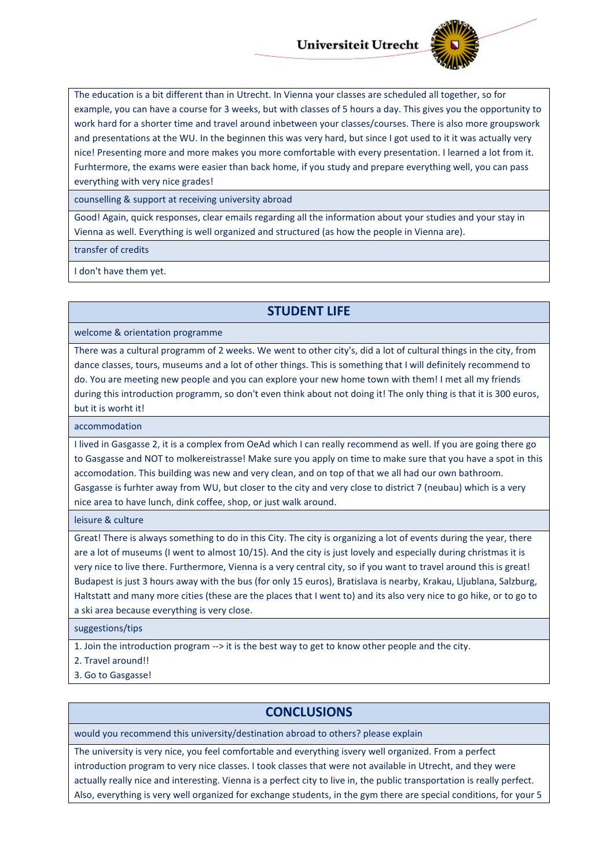

The education is a bit different than in Utrecht. In Vienna your classes are scheduled all together, so for example, you can have a course for 3 weeks, but with classes of 5 hours a day. This gives you the opportunity to work hard for a shorter time and travel around inbetween your classes/courses. There is also more groupswork and presentations at the WU. In the beginnen this was very hard, but since I got used to it it was actually very nice! Presenting more and more makes you more comfortable with every presentation. I learned a lot from it. Furhtermore, the exams were easier than back home, if you study and prepare everything well, you can pass everything with very nice grades!

counselling & support at receiving university abroad

Good! Again, quick responses, clear emails regarding all the information about your studies and your stay in Vienna as well. Everything is well organized and structured (as how the people in Vienna are).

transfer of credits

I don't have them yet.

#### **STUDENT LIFE**

welcome & orientation programme

There was a cultural programm of 2 weeks. We went to other city's, did a lot of cultural things in the city, from dance classes, tours, museums and a lot of other things. This is something that I will definitely recommend to do. You are meeting new people and you can explore your new home town with them! I met all my friends during this introduction programm, so don't even think about not doing it! The only thing is that it is 300 euros, but it is worht it!

accommodation

I lived in Gasgasse 2, it is a complex from OeAd which I can really recommend as well. If you are going there go to Gasgasse and NOT to molkereistrasse! Make sure you apply on time to make sure that you have a spot in this accomodation. This building was new and very clean, and on top of that we all had our own bathroom. Gasgasse is furhter away from WU, but closer to the city and very close to district 7 (neubau) which is a very nice area to have lunch, dink coffee, shop, or just walk around.

leisure & culture

Great! There is always something to do in this City. The city is organizing a lot of events during the year, there are a lot of museums (I went to almost 10/15). And the city is just lovely and especially during christmas it is very nice to live there. Furthermore, Vienna is a very central city, so if you want to travel around this is great! Budapest is just 3 hours away with the bus (for only 15 euros), Bratislava is nearby, Krakau, Lljublana, Salzburg, Haltstatt and many more cities (these are the places that I went to) and its also very nice to go hike, or to go to a ski area because everything is very close.

suggestions/tips

1. Join the introduction program --> it is the best way to get to know other people and the city.

2. Travel around!!

3. Go to Gasgasse!

#### **CONCLUSIONS**

would you recommend this university/destination abroad to others? please explain

The university is very nice, you feel comfortable and everything isvery well organized. From a perfect introduction program to very nice classes. I took classes that were not available in Utrecht, and they were actually really nice and interesting. Vienna is a perfect city to live in, the public transportation is really perfect. Also, everything is very well organized for exchange students, in the gym there are special conditions, for your 5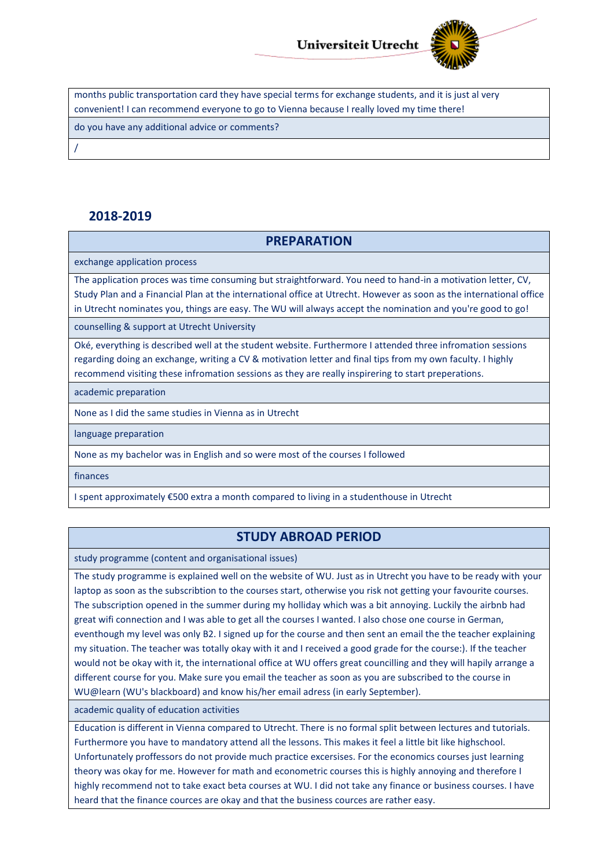

months public transportation card they have special terms for exchange students, and it is just al very convenient! I can recommend everyone to go to Vienna because I really loved my time there!

do you have any additional advice or comments?

/

## **2018-2019**

### **PREPARATION**

exchange application process

The application proces was time consuming but straightforward. You need to hand-in a motivation letter, CV, Study Plan and a Financial Plan at the international office at Utrecht. However as soon as the international office in Utrecht nominates you, things are easy. The WU will always accept the nomination and you're good to go!

counselling & support at Utrecht University

Oké, everything is described well at the student website. Furthermore I attended three infromation sessions regarding doing an exchange, writing a CV & motivation letter and final tips from my own faculty. I highly recommend visiting these infromation sessions as they are really inspirering to start preperations.

academic preparation

None as I did the same studies in Vienna as in Utrecht

language preparation

None as my bachelor was in English and so were most of the courses I followed

finances

I spent approximately €500 extra a month compared to living in a studenthouse in Utrecht

### **STUDY ABROAD PERIOD**

study programme (content and organisational issues)

The study programme is explained well on the website of WU. Just as in Utrecht you have to be ready with your laptop as soon as the subscribtion to the courses start, otherwise you risk not getting your favourite courses. The subscription opened in the summer during my holliday which was a bit annoying. Luckily the airbnb had great wifi connection and I was able to get all the courses I wanted. I also chose one course in German, eventhough my level was only B2. I signed up for the course and then sent an email the the teacher explaining my situation. The teacher was totally okay with it and I received a good grade for the course:). If the teacher would not be okay with it, the international office at WU offers great councilling and they will hapily arrange a different course for you. Make sure you email the teacher as soon as you are subscribed to the course in WU@learn (WU's blackboard) and know his/her email adress (in early September).

academic quality of education activities

Education is different in Vienna compared to Utrecht. There is no formal split between lectures and tutorials. Furthermore you have to mandatory attend all the lessons. This makes it feel a little bit like highschool. Unfortunately proffessors do not provide much practice excersises. For the economics courses just learning theory was okay for me. However for math and econometric courses this is highly annoying and therefore I highly recommend not to take exact beta courses at WU. I did not take any finance or business courses. I have heard that the finance cources are okay and that the business cources are rather easy.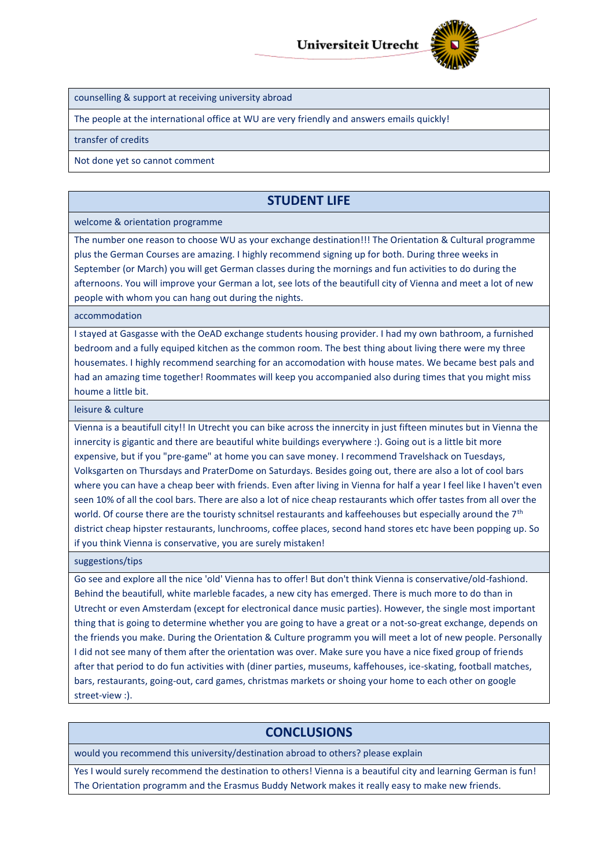

counselling & support at receiving university abroad

The people at the international office at WU are very friendly and answers emails quickly!

transfer of credits

Not done yet so cannot comment

## **STUDENT LIFE**

#### welcome & orientation programme

The number one reason to choose WU as your exchange destination!!! The Orientation & Cultural programme plus the German Courses are amazing. I highly recommend signing up for both. During three weeks in September (or March) you will get German classes during the mornings and fun activities to do during the afternoons. You will improve your German a lot, see lots of the beautifull city of Vienna and meet a lot of new people with whom you can hang out during the nights.

#### accommodation

I stayed at Gasgasse with the OeAD exchange students housing provider. I had my own bathroom, a furnished bedroom and a fully equiped kitchen as the common room. The best thing about living there were my three housemates. I highly recommend searching for an accomodation with house mates. We became best pals and had an amazing time together! Roommates will keep you accompanied also during times that you might miss houme a little bit.

leisure & culture

Vienna is a beautifull city!! In Utrecht you can bike across the innercity in just fifteen minutes but in Vienna the innercity is gigantic and there are beautiful white buildings everywhere :). Going out is a little bit more expensive, but if you "pre-game" at home you can save money. I recommend Travelshack on Tuesdays, Volksgarten on Thursdays and PraterDome on Saturdays. Besides going out, there are also a lot of cool bars where you can have a cheap beer with friends. Even after living in Vienna for half a year I feel like I haven't even seen 10% of all the cool bars. There are also a lot of nice cheap restaurants which offer tastes from all over the world. Of course there are the touristy schnitsel restaurants and kaffeehouses but especially around the 7<sup>th</sup> district cheap hipster restaurants, lunchrooms, coffee places, second hand stores etc have been popping up. So if you think Vienna is conservative, you are surely mistaken!

suggestions/tips

Go see and explore all the nice 'old' Vienna has to offer! But don't think Vienna is conservative/old-fashiond. Behind the beautifull, white marleble facades, a new city has emerged. There is much more to do than in Utrecht or even Amsterdam (except for electronical dance music parties). However, the single most important thing that is going to determine whether you are going to have a great or a not-so-great exchange, depends on the friends you make. During the Orientation & Culture programm you will meet a lot of new people. Personally I did not see many of them after the orientation was over. Make sure you have a nice fixed group of friends after that period to do fun activities with (diner parties, museums, kaffehouses, ice-skating, football matches, bars, restaurants, going-out, card games, christmas markets or shoing your home to each other on google street-view :).

### **CONCLUSIONS**

would you recommend this university/destination abroad to others? please explain

Yes I would surely recommend the destination to others! Vienna is a beautiful city and learning German is fun! The Orientation programm and the Erasmus Buddy Network makes it really easy to make new friends.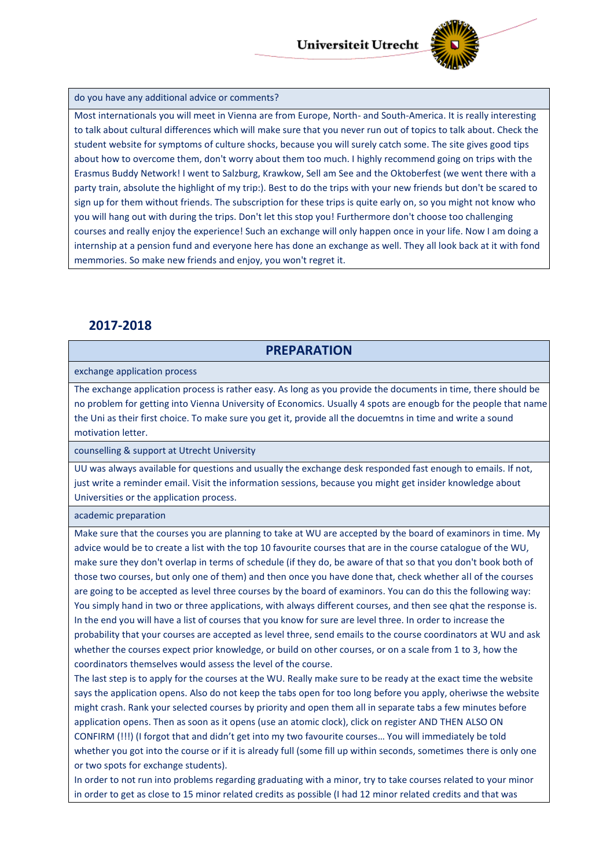

#### do you have any additional advice or comments?

Most internationals you will meet in Vienna are from Europe, North- and South-America. It is really interesting to talk about cultural differences which will make sure that you never run out of topics to talk about. Check the student website for symptoms of culture shocks, because you will surely catch some. The site gives good tips about how to overcome them, don't worry about them too much. I highly recommend going on trips with the Erasmus Buddy Network! I went to Salzburg, Krawkow, Sell am See and the Oktoberfest (we went there with a party train, absolute the highlight of my trip:). Best to do the trips with your new friends but don't be scared to sign up for them without friends. The subscription for these trips is quite early on, so you might not know who you will hang out with during the trips. Don't let this stop you! Furthermore don't choose too challenging courses and really enjoy the experience! Such an exchange will only happen once in your life. Now I am doing a internship at a pension fund and everyone here has done an exchange as well. They all look back at it with fond memmories. So make new friends and enjoy, you won't regret it.

#### **2017-2018**

#### **PREPARATION**

exchange application process

The exchange application process is rather easy. As long as you provide the documents in time, there should be no problem for getting into Vienna University of Economics. Usually 4 spots are enougb for the people that name the Uni as their first choice. To make sure you get it, provide all the docuemtns in time and write a sound motivation letter.

counselling & support at Utrecht University

UU was always available for questions and usually the exchange desk responded fast enough to emails. If not, just write a reminder email. Visit the information sessions, because you might get insider knowledge about Universities or the application process.

academic preparation

Make sure that the courses you are planning to take at WU are accepted by the board of examinors in time. My advice would be to create a list with the top 10 favourite courses that are in the course catalogue of the WU, make sure they don't overlap in terms of schedule (if they do, be aware of that so that you don't book both of those two courses, but only one of them) and then once you have done that, check whether all of the courses are going to be accepted as level three courses by the board of examinors. You can do this the following way: You simply hand in two or three applications, with always different courses, and then see qhat the response is. In the end you will have a list of courses that you know for sure are level three. In order to increase the probability that your courses are accepted as level three, send emails to the course coordinators at WU and ask whether the courses expect prior knowledge, or build on other courses, or on a scale from 1 to 3, how the coordinators themselves would assess the level of the course.

The last step is to apply for the courses at the WU. Really make sure to be ready at the exact time the website says the application opens. Also do not keep the tabs open for too long before you apply, oheriwse the website might crash. Rank your selected courses by priority and open them all in separate tabs a few minutes before application opens. Then as soon as it opens (use an atomic clock), click on register AND THEN ALSO ON CONFIRM (!!!) (I forgot that and didn't get into my two favourite courses… You will immediately be told whether you got into the course or if it is already full (some fill up within seconds, sometimes there is only one or two spots for exchange students).

In order to not run into problems regarding graduating with a minor, try to take courses related to your minor in order to get as close to 15 minor related credits as possible (I had 12 minor related credits and that was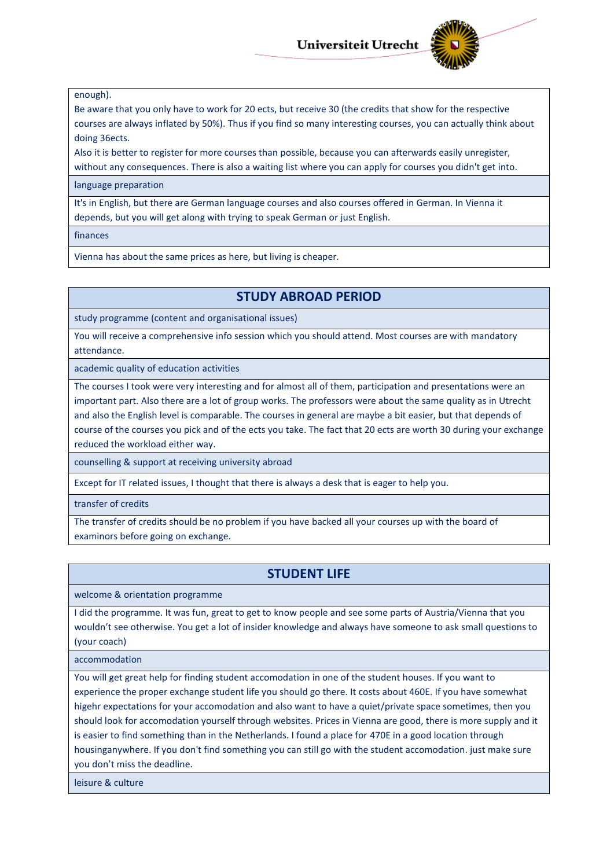

#### enough).

Be aware that you only have to work for 20 ects, but receive 30 (the credits that show for the respective courses are always inflated by 50%). Thus if you find so many interesting courses, you can actually think about doing 36ects.

Also it is better to register for more courses than possible, because you can afterwards easily unregister,

without any consequences. There is also a waiting list where you can apply for courses you didn't get into.

#### language preparation

It's in English, but there are German language courses and also courses offered in German. In Vienna it depends, but you will get along with trying to speak German or just English.

finances

Vienna has about the same prices as here, but living is cheaper.

### **STUDY ABROAD PERIOD**

study programme (content and organisational issues)

You will receive a comprehensive info session which you should attend. Most courses are with mandatory attendance.

academic quality of education activities

The courses I took were very interesting and for almost all of them, participation and presentations were an important part. Also there are a lot of group works. The professors were about the same quality as in Utrecht and also the English level is comparable. The courses in general are maybe a bit easier, but that depends of course of the courses you pick and of the ects you take. The fact that 20 ects are worth 30 during your exchange reduced the workload either way.

counselling & support at receiving university abroad

Except for IT related issues, I thought that there is always a desk that is eager to help you.

transfer of credits

The transfer of credits should be no problem if you have backed all your courses up with the board of examinors before going on exchange.

## **STUDENT LIFE**

welcome & orientation programme

I did the programme. It was fun, great to get to know people and see some parts of Austria/Vienna that you wouldn't see otherwise. You get a lot of insider knowledge and always have someone to ask small questions to (your coach)

accommodation

You will get great help for finding student accomodation in one of the student houses. If you want to experience the proper exchange student life you should go there. It costs about 460E. If you have somewhat higehr expectations for your accomodation and also want to have a quiet/private space sometimes, then you should look for accomodation yourself through websites. Prices in Vienna are good, there is more supply and it is easier to find something than in the Netherlands. I found a place for 470E in a good location through housinganywhere. If you don't find something you can still go with the student accomodation. just make sure you don't miss the deadline.

leisure & culture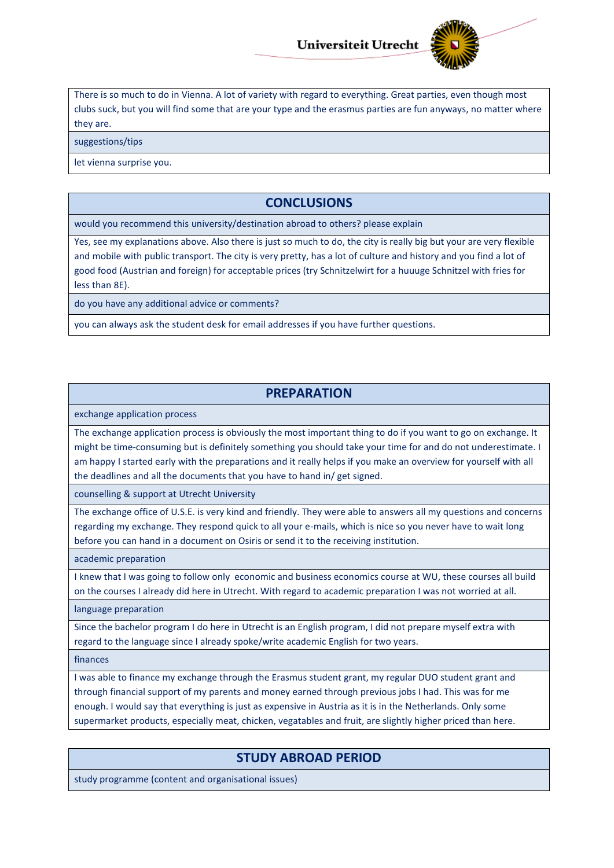

There is so much to do in Vienna. A lot of variety with regard to everything. Great parties, even though most clubs suck, but you will find some that are your type and the erasmus parties are fun anyways, no matter where they are.

suggestions/tips

let vienna surprise you.

## **CONCLUSIONS**

would you recommend this university/destination abroad to others? please explain

Yes, see my explanations above. Also there is just so much to do, the city is really big but your are very flexible and mobile with public transport. The city is very pretty, has a lot of culture and history and you find a lot of good food (Austrian and foreign) for acceptable prices (try Schnitzelwirt for a huuuge Schnitzel with fries for less than 8E).

do you have any additional advice or comments?

you can always ask the student desk for email addresses if you have further questions.

#### **PREPARATION**

exchange application process

The exchange application process is obviously the most important thing to do if you want to go on exchange. It might be time-consuming but is definitely something you should take your time for and do not underestimate. I am happy I started early with the preparations and it really helps if you make an overview for yourself with all the deadlines and all the documents that you have to hand in/ get signed.

counselling & support at Utrecht University

The exchange office of U.S.E. is very kind and friendly. They were able to answers all my questions and concerns regarding my exchange. They respond quick to all your e-mails, which is nice so you never have to wait long before you can hand in a document on Osiris or send it to the receiving institution.

academic preparation

I knew that I was going to follow only economic and business economics course at WU, these courses all build on the courses I already did here in Utrecht. With regard to academic preparation I was not worried at all.

language preparation

Since the bachelor program I do here in Utrecht is an English program, I did not prepare myself extra with regard to the language since I already spoke/write academic English for two years.

finances

I was able to finance my exchange through the Erasmus student grant, my regular DUO student grant and through financial support of my parents and money earned through previous jobs I had. This was for me enough. I would say that everything is just as expensive in Austria as it is in the Netherlands. Only some supermarket products, especially meat, chicken, vegatables and fruit, are slightly higher priced than here.

#### **STUDY ABROAD PERIOD**

study programme (content and organisational issues)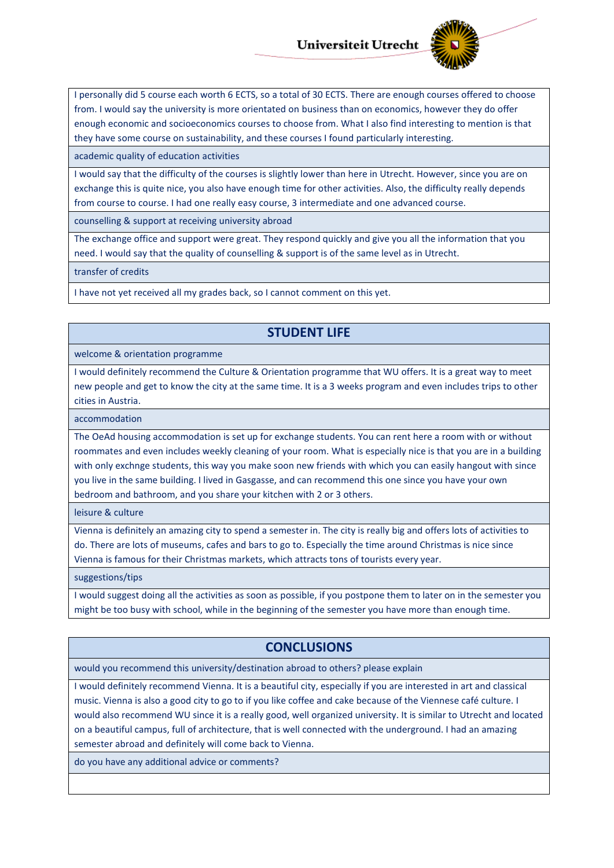

I personally did 5 course each worth 6 ECTS, so a total of 30 ECTS. There are enough courses offered to choose from. I would say the university is more orientated on business than on economics, however they do offer enough economic and socioeconomics courses to choose from. What I also find interesting to mention is that they have some course on sustainability, and these courses I found particularly interesting.

academic quality of education activities

I would say that the difficulty of the courses is slightly lower than here in Utrecht. However, since you are on exchange this is quite nice, you also have enough time for other activities. Also, the difficulty really depends from course to course. I had one really easy course, 3 intermediate and one advanced course.

counselling & support at receiving university abroad

The exchange office and support were great. They respond quickly and give you all the information that you need. I would say that the quality of counselling & support is of the same level as in Utrecht.

transfer of credits

I have not yet received all my grades back, so I cannot comment on this yet.

## **STUDENT LIFE**

welcome & orientation programme

I would definitely recommend the Culture & Orientation programme that WU offers. It is a great way to meet new people and get to know the city at the same time. It is a 3 weeks program and even includes trips to other cities in Austria.

accommodation

The OeAd housing accommodation is set up for exchange students. You can rent here a room with or without roommates and even includes weekly cleaning of your room. What is especially nice is that you are in a building with only exchnge students, this way you make soon new friends with which you can easily hangout with since you live in the same building. I lived in Gasgasse, and can recommend this one since you have your own bedroom and bathroom, and you share your kitchen with 2 or 3 others.

leisure & culture

Vienna is definitely an amazing city to spend a semester in. The city is really big and offers lots of activities to do. There are lots of museums, cafes and bars to go to. Especially the time around Christmas is nice since Vienna is famous for their Christmas markets, which attracts tons of tourists every year.

suggestions/tips

I would suggest doing all the activities as soon as possible, if you postpone them to later on in the semester you might be too busy with school, while in the beginning of the semester you have more than enough time.

## **CONCLUSIONS**

would you recommend this university/destination abroad to others? please explain

I would definitely recommend Vienna. It is a beautiful city, especially if you are interested in art and classical music. Vienna is also a good city to go to if you like coffee and cake because of the Viennese café culture. I would also recommend WU since it is a really good, well organized university. It is similar to Utrecht and located on a beautiful campus, full of architecture, that is well connected with the underground. I had an amazing semester abroad and definitely will come back to Vienna.

do you have any additional advice or comments?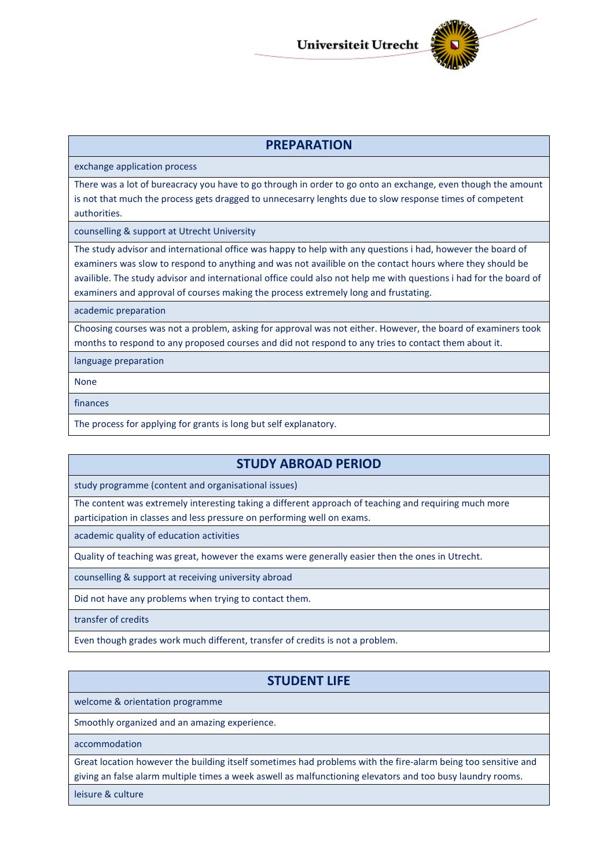

### **PREPARATION**

exchange application process

There was a lot of bureacracy you have to go through in order to go onto an exchange, even though the amount is not that much the process gets dragged to unnecesarry lenghts due to slow response times of competent authorities.

counselling & support at Utrecht University

The study advisor and international office was happy to help with any questions i had, however the board of examiners was slow to respond to anything and was not availible on the contact hours where they should be availible. The study advisor and international office could also not help me with questions i had for the board of examiners and approval of courses making the process extremely long and frustating.

academic preparation

Choosing courses was not a problem, asking for approval was not either. However, the board of examiners took months to respond to any proposed courses and did not respond to any tries to contact them about it.

language preparation

None

finances

The process for applying for grants is long but self explanatory.

### **STUDY ABROAD PERIOD**

study programme (content and organisational issues)

The content was extremely interesting taking a different approach of teaching and requiring much more participation in classes and less pressure on performing well on exams.

academic quality of education activities

Quality of teaching was great, however the exams were generally easier then the ones in Utrecht.

counselling & support at receiving university abroad

Did not have any problems when trying to contact them.

transfer of credits

Even though grades work much different, transfer of credits is not a problem.

## **STUDENT LIFE**

welcome & orientation programme

Smoothly organized and an amazing experience.

accommodation

Great location however the building itself sometimes had problems with the fire-alarm being too sensitive and giving an false alarm multiple times a week aswell as malfunctioning elevators and too busy laundry rooms.

leisure & culture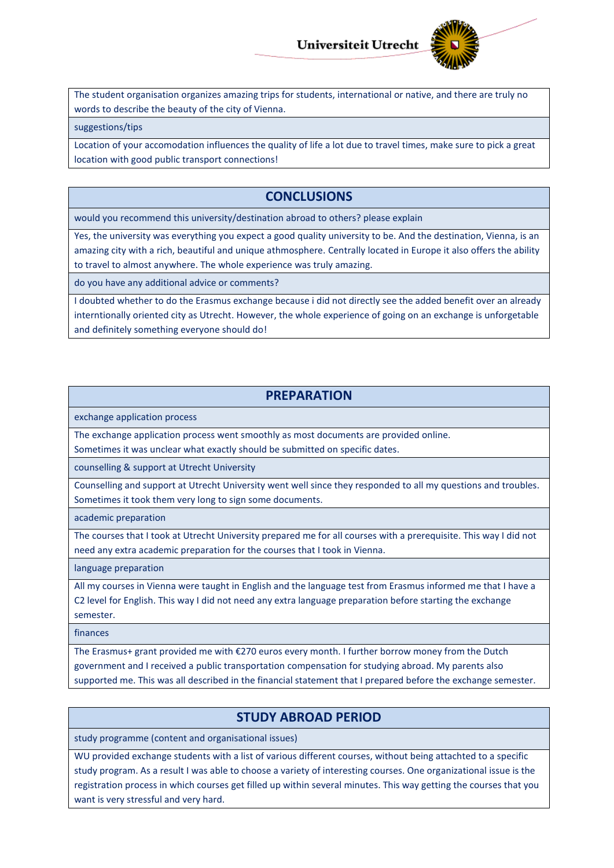

The student organisation organizes amazing trips for students, international or native, and there are truly no words to describe the beauty of the city of Vienna.

suggestions/tips

Location of your accomodation influences the quality of life a lot due to travel times, make sure to pick a great location with good public transport connections!

## **CONCLUSIONS**

would you recommend this university/destination abroad to others? please explain

Yes, the university was everything you expect a good quality university to be. And the destination, Vienna, is an amazing city with a rich, beautiful and unique athmosphere. Centrally located in Europe it also offers the ability to travel to almost anywhere. The whole experience was truly amazing.

do you have any additional advice or comments?

I doubted whether to do the Erasmus exchange because i did not directly see the added benefit over an already interntionally oriented city as Utrecht. However, the whole experience of going on an exchange is unforgetable and definitely something everyone should do!

## **PREPARATION**

exchange application process

The exchange application process went smoothly as most documents are provided online.

Sometimes it was unclear what exactly should be submitted on specific dates.

counselling & support at Utrecht University

Counselling and support at Utrecht University went well since they responded to all my questions and troubles. Sometimes it took them very long to sign some documents.

academic preparation

The courses that I took at Utrecht University prepared me for all courses with a prerequisite. This way I did not need any extra academic preparation for the courses that I took in Vienna.

language preparation

All my courses in Vienna were taught in English and the language test from Erasmus informed me that I have a C2 level for English. This way I did not need any extra language preparation before starting the exchange semester.

finances

The Erasmus+ grant provided me with €270 euros every month. I further borrow money from the Dutch government and I received a public transportation compensation for studying abroad. My parents also supported me. This was all described in the financial statement that I prepared before the exchange semester.

### **STUDY ABROAD PERIOD**

study programme (content and organisational issues)

WU provided exchange students with a list of various different courses, without being attachted to a specific study program. As a result I was able to choose a variety of interesting courses. One organizational issue is the registration process in which courses get filled up within several minutes. This way getting the courses that you want is very stressful and very hard.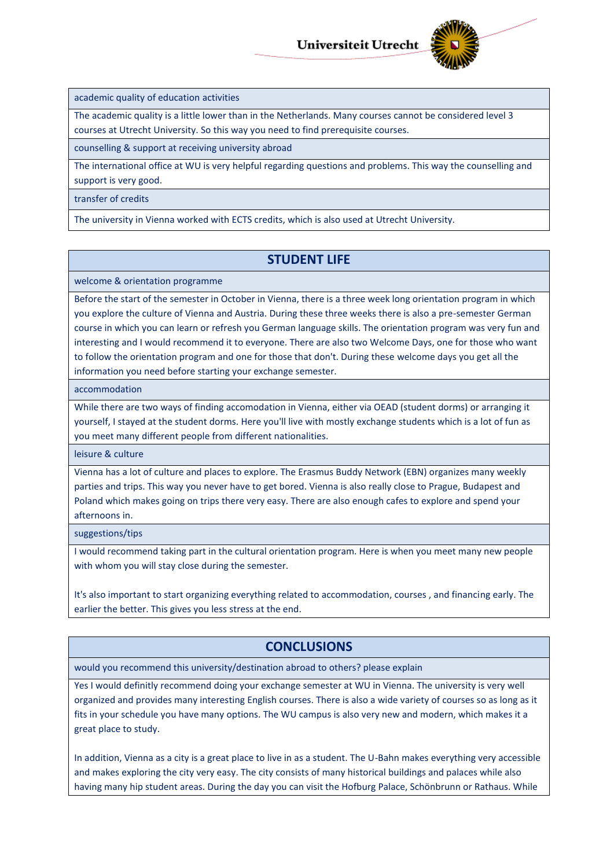

academic quality of education activities

The academic quality is a little lower than in the Netherlands. Many courses cannot be considered level 3 courses at Utrecht University. So this way you need to find prerequisite courses.

counselling & support at receiving university abroad

The international office at WU is very helpful regarding questions and problems. This way the counselling and support is very good.

#### transfer of credits

The university in Vienna worked with ECTS credits, which is also used at Utrecht University.

### **STUDENT LIFE**

welcome & orientation programme

Before the start of the semester in October in Vienna, there is a three week long orientation program in which you explore the culture of Vienna and Austria. During these three weeks there is also a pre-semester German course in which you can learn or refresh you German language skills. The orientation program was very fun and interesting and I would recommend it to everyone. There are also two Welcome Days, one for those who want to follow the orientation program and one for those that don't. During these welcome days you get all the information you need before starting your exchange semester.

accommodation

While there are two ways of finding accomodation in Vienna, either via OEAD (student dorms) or arranging it yourself, I stayed at the student dorms. Here you'll live with mostly exchange students which is a lot of fun as you meet many different people from different nationalities.

leisure & culture

Vienna has a lot of culture and places to explore. The Erasmus Buddy Network (EBN) organizes many weekly parties and trips. This way you never have to get bored. Vienna is also really close to Prague, Budapest and Poland which makes going on trips there very easy. There are also enough cafes to explore and spend your afternoons in.

suggestions/tips

I would recommend taking part in the cultural orientation program. Here is when you meet many new people with whom you will stay close during the semester.

It's also important to start organizing everything related to accommodation, courses , and financing early. The earlier the better. This gives you less stress at the end.

## **CONCLUSIONS**

would you recommend this university/destination abroad to others? please explain

Yes I would definitly recommend doing your exchange semester at WU in Vienna. The university is very well organized and provides many interesting English courses. There is also a wide variety of courses so as long as it fits in your schedule you have many options. The WU campus is also very new and modern, which makes it a great place to study.

In addition, Vienna as a city is a great place to live in as a student. The U-Bahn makes everything very accessible and makes exploring the city very easy. The city consists of many historical buildings and palaces while also having many hip student areas. During the day you can visit the Hofburg Palace, Schönbrunn or Rathaus. While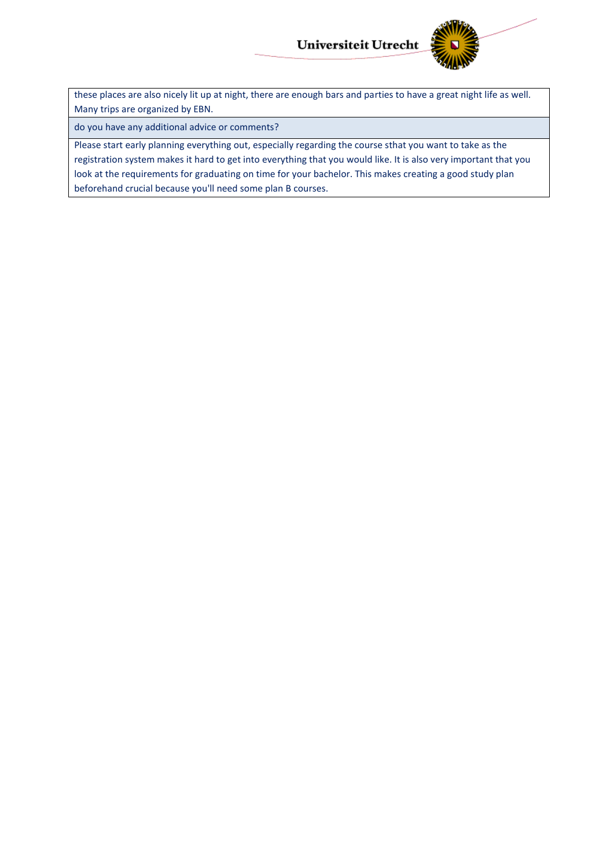

these places are also nicely lit up at night, there are enough bars and parties to have a great night life as well. Many trips are organized by EBN.

do you have any additional advice or comments?

Please start early planning everything out, especially regarding the course sthat you want to take as the registration system makes it hard to get into everything that you would like. It is also very important that you look at the requirements for graduating on time for your bachelor. This makes creating a good study plan beforehand crucial because you'll need some plan B courses.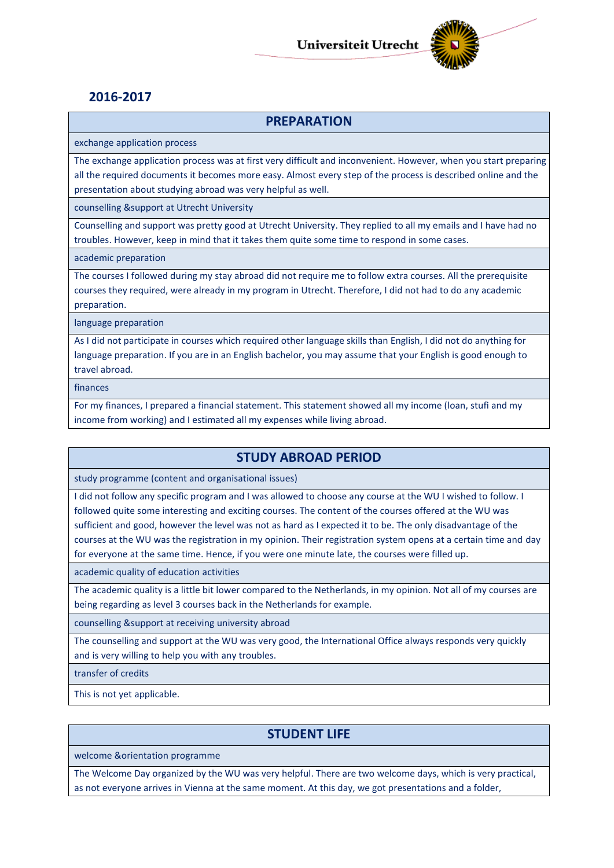

## **2016-2017**

### **PREPARATION**

exchange application process

The exchange application process was at first very difficult and inconvenient. However, when you start preparing all the required documents it becomes more easy. Almost every step of the process is described online and the presentation about studying abroad was very helpful as well.

counselling &support at Utrecht University

Counselling and support was pretty good at Utrecht University. They replied to all my emails and I have had no troubles. However, keep in mind that it takes them quite some time to respond in some cases.

academic preparation

The courses I followed during my stay abroad did not require me to follow extra courses. All the prerequisite courses they required, were already in my program in Utrecht. Therefore, I did not had to do any academic preparation.

language preparation

As I did not participate in courses which required other language skills than English, I did not do anything for language preparation. If you are in an English bachelor, you may assume that your English is good enough to travel abroad.

finances

For my finances, I prepared a financial statement. This statement showed all my income (loan, stufi and my income from working) and I estimated all my expenses while living abroad.

## **STUDY ABROAD PERIOD**

study programme (content and organisational issues)

I did not follow any specific program and I was allowed to choose any course at the WU I wished to follow. I followed quite some interesting and exciting courses. The content of the courses offered at the WU was sufficient and good, however the level was not as hard as I expected it to be. The only disadvantage of the courses at the WU was the registration in my opinion. Their registration system opens at a certain time and day for everyone at the same time. Hence, if you were one minute late, the courses were filled up.

academic quality of education activities

The academic quality is a little bit lower compared to the Netherlands, in my opinion. Not all of my courses are being regarding as level 3 courses back in the Netherlands for example.

counselling &support at receiving university abroad

The counselling and support at the WU was very good, the International Office always responds very quickly and is very willing to help you with any troubles.

transfer of credits

This is not yet applicable.

## **STUDENT LIFE**

welcome &orientation programme

The Welcome Day organized by the WU was very helpful. There are two welcome days, which is very practical, as not everyone arrives in Vienna at the same moment. At this day, we got presentations and a folder,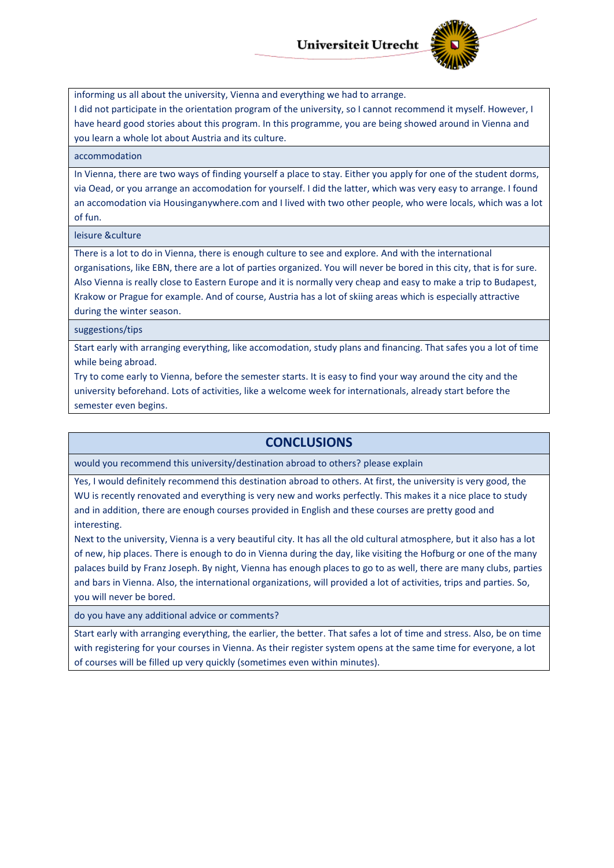

informing us all about the university, Vienna and everything we had to arrange. I did not participate in the orientation program of the university, so I cannot recommend it myself. However, I have heard good stories about this program. In this programme, you are being showed around in Vienna and you learn a whole lot about Austria and its culture.

#### accommodation

In Vienna, there are two ways of finding yourself a place to stay. Either you apply for one of the student dorms, via Oead, or you arrange an accomodation for yourself. I did the latter, which was very easy to arrange. I found an accomodation via Housinganywhere.com and I lived with two other people, who were locals, which was a lot of fun.

#### leisure &culture

There is a lot to do in Vienna, there is enough culture to see and explore. And with the international organisations, like EBN, there are a lot of parties organized. You will never be bored in this city, that is for sure. Also Vienna is really close to Eastern Europe and it is normally very cheap and easy to make a trip to Budapest, Krakow or Prague for example. And of course, Austria has a lot of skiing areas which is especially attractive during the winter season.

suggestions/tips

Start early with arranging everything, like accomodation, study plans and financing. That safes you a lot of time while being abroad.

Try to come early to Vienna, before the semester starts. It is easy to find your way around the city and the university beforehand. Lots of activities, like a welcome week for internationals, already start before the semester even begins.

#### **CONCLUSIONS**

would you recommend this university/destination abroad to others? please explain

Yes, I would definitely recommend this destination abroad to others. At first, the university is very good, the WU is recently renovated and everything is very new and works perfectly. This makes it a nice place to study and in addition, there are enough courses provided in English and these courses are pretty good and interesting.

Next to the university, Vienna is a very beautiful city. It has all the old cultural atmosphere, but it also has a lot of new, hip places. There is enough to do in Vienna during the day, like visiting the Hofburg or one of the many palaces build by Franz Joseph. By night, Vienna has enough places to go to as well, there are many clubs, parties and bars in Vienna. Also, the international organizations, will provided a lot of activities, trips and parties. So, you will never be bored.

do you have any additional advice or comments?

Start early with arranging everything, the earlier, the better. That safes a lot of time and stress. Also, be on time with registering for your courses in Vienna. As their register system opens at the same time for everyone, a lot of courses will be filled up very quickly (sometimes even within minutes).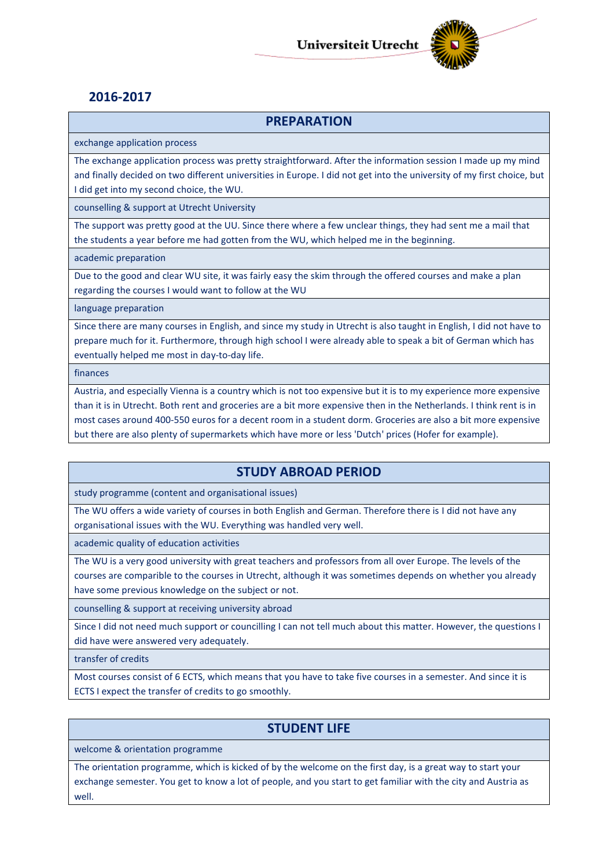

## **2016-2017**

### **PREPARATION**

exchange application process

The exchange application process was pretty straightforward. After the information session I made up my mind and finally decided on two different universities in Europe. I did not get into the university of my first choice, but I did get into my second choice, the WU.

counselling & support at Utrecht University

The support was pretty good at the UU. Since there where a few unclear things, they had sent me a mail that the students a year before me had gotten from the WU, which helped me in the beginning.

academic preparation

Due to the good and clear WU site, it was fairly easy the skim through the offered courses and make a plan regarding the courses I would want to follow at the WU

language preparation

Since there are many courses in English, and since my study in Utrecht is also taught in English, I did not have to prepare much for it. Furthermore, through high school I were already able to speak a bit of German which has eventually helped me most in day-to-day life.

finances

Austria, and especially Vienna is a country which is not too expensive but it is to my experience more expensive than it is in Utrecht. Both rent and groceries are a bit more expensive then in the Netherlands. I think rent is in most cases around 400-550 euros for a decent room in a student dorm. Groceries are also a bit more expensive but there are also plenty of supermarkets which have more or less 'Dutch' prices (Hofer for example).

## **STUDY ABROAD PERIOD**

study programme (content and organisational issues)

The WU offers a wide variety of courses in both English and German. Therefore there is I did not have any organisational issues with the WU. Everything was handled very well.

academic quality of education activities

The WU is a very good university with great teachers and professors from all over Europe. The levels of the courses are comparible to the courses in Utrecht, although it was sometimes depends on whether you already have some previous knowledge on the subject or not.

counselling & support at receiving university abroad

Since I did not need much support or councilling I can not tell much about this matter. However, the questions I did have were answered very adequately.

transfer of credits

Most courses consist of 6 ECTS, which means that you have to take five courses in a semester. And since it is ECTS I expect the transfer of credits to go smoothly.

## **STUDENT LIFE**

welcome & orientation programme

The orientation programme, which is kicked of by the welcome on the first day, is a great way to start your exchange semester. You get to know a lot of people, and you start to get familiar with the city and Austria as well.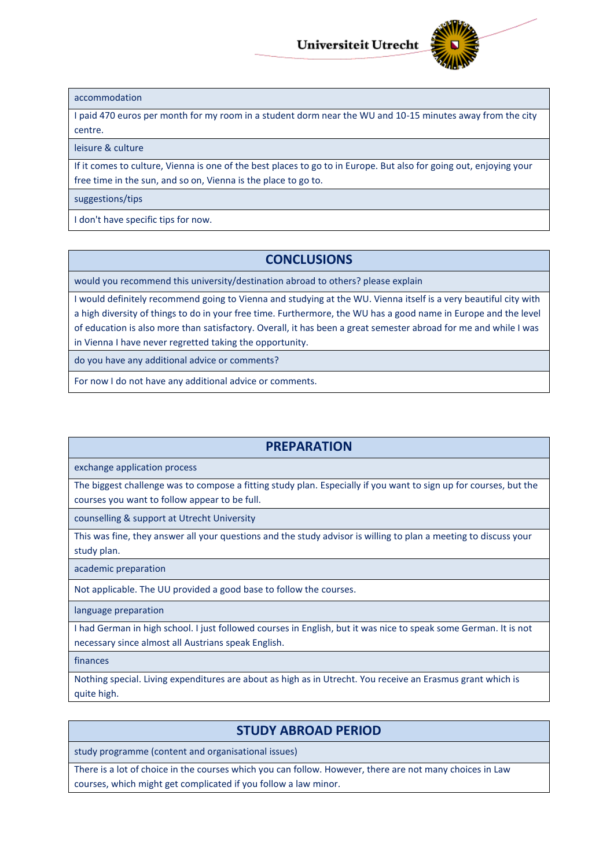

#### accommodation

I paid 470 euros per month for my room in a student dorm near the WU and 10-15 minutes away from the city centre.

#### leisure & culture

If it comes to culture, Vienna is one of the best places to go to in Europe. But also for going out, enjoying your free time in the sun, and so on, Vienna is the place to go to.

#### suggestions/tips

I don't have specific tips for now.

### **CONCLUSIONS**

would you recommend this university/destination abroad to others? please explain

I would definitely recommend going to Vienna and studying at the WU. Vienna itself is a very beautiful city with a high diversity of things to do in your free time. Furthermore, the WU has a good name in Europe and the level of education is also more than satisfactory. Overall, it has been a great semester abroad for me and while I was in Vienna I have never regretted taking the opportunity.

do you have any additional advice or comments?

For now I do not have any additional advice or comments.

### **PREPARATION**

exchange application process

The biggest challenge was to compose a fitting study plan. Especially if you want to sign up for courses, but the courses you want to follow appear to be full.

counselling & support at Utrecht University

This was fine, they answer all your questions and the study advisor is willing to plan a meeting to discuss your study plan.

academic preparation

Not applicable. The UU provided a good base to follow the courses.

language preparation

I had German in high school. I just followed courses in English, but it was nice to speak some German. It is not necessary since almost all Austrians speak English.

finances

Nothing special. Living expenditures are about as high as in Utrecht. You receive an Erasmus grant which is quite high.

### **STUDY ABROAD PERIOD**

study programme (content and organisational issues)

There is a lot of choice in the courses which you can follow. However, there are not many choices in Law courses, which might get complicated if you follow a law minor.